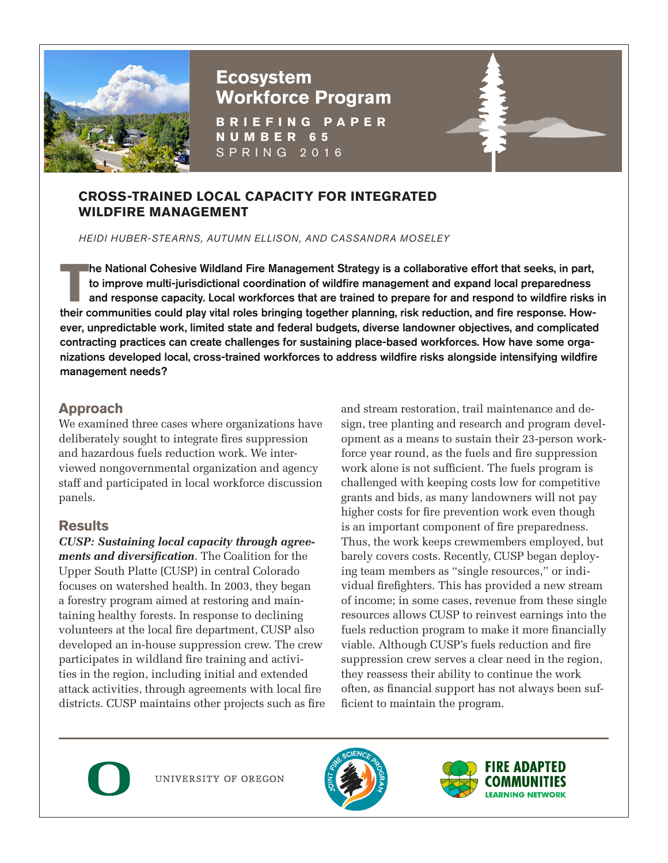

# **Ecosystem Workforce Program**

**BRIEFING PAPER NUMBER 65** SPRING 2016

#### **CROSS-TRAINED LOCAL CAPACITY FOR INTEGRATED WILDFIRE MANAGEMENT**

*HEIDI HUBER-STEARNS, AUTUMN ELLISON, AND CASSANDRA MOSELEY*

The National Cohesive Wildland Fire Management Strategy is a collaborative effort that seeks, in part, to improve multi-jurisdictional coordination of wildfire management and expand local preparedness and response capacity he National Cohesive Wildland Fire Management Strategy is a collaborative effort that seeks, in part, to improve multi-jurisdictional coordination of wildfire management and expand local preparedness and response capacity. Local workforces that are trained to prepare for and respond to wildfire risks in ever, unpredictable work, limited state and federal budgets, diverse landowner objectives, and complicated contracting practices can create challenges for sustaining place-based workforces. How have some organizations developed local, cross-trained workforces to address wildfire risks alongside intensifying wildfire management needs?

## **Approach**

We examined three cases where organizations have deliberately sought to integrate fires suppression and hazardous fuels reduction work. We interviewed nongovernmental organization and agency staff and participated in local workforce discussion panels.

## **Results**

*CUSP: Sustaining local capacity through agreements and diversification*. The Coalition for the Upper South Platte (CUSP) in central Colorado focuses on watershed health. In 2003, they began a forestry program aimed at restoring and maintaining healthy forests. In response to declining volunteers at the local fire department, CUSP also developed an in-house suppression crew. The crew participates in wildland fire training and activities in the region, including initial and extended attack activities, through agreements with local fire districts. CUSP maintains other projects such as fire and stream restoration, trail maintenance and design, tree planting and research and program development as a means to sustain their 23-person workforce year round, as the fuels and fire suppression work alone is not sufficient. The fuels program is challenged with keeping costs low for competitive grants and bids, as many landowners will not pay higher costs for fire prevention work even though is an important component of fire preparedness. Thus, the work keeps crewmembers employed, but barely covers costs. Recently, CUSP began deploying team members as "single resources," or individual firefighters. This has provided a new stream of income; in some cases, revenue from these single resources allows CUSP to reinvest earnings into the fuels reduction program to make it more financially viable. Although CUSP's fuels reduction and fire suppression crew serves a clear need in the region, they reassess their ability to continue the work often, as financial support has not always been sufficient to maintain the program.



UNIVERSITY OF OREGON